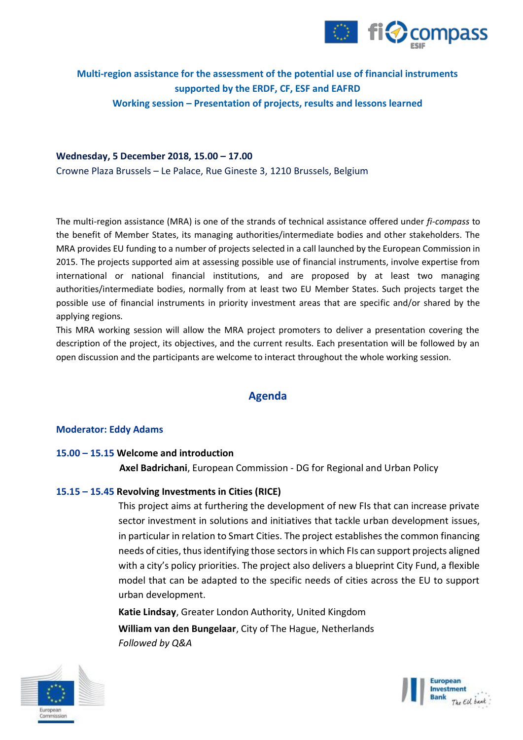

# **Multi-region assistance for the assessment of the potential use of financial instruments supported by the ERDF, CF, ESF and EAFRD Working session – Presentation of projects, results and lessons learned**

#### **Wednesday, 5 December 2018, 15.00 – 17.00**

Crowne Plaza Brussels – Le Palace, Rue Gineste 3, 1210 Brussels, Belgium

The multi-region assistance (MRA) is one of the strands of technical assistance offered under *fi-compass* to the benefit of Member States, its managing authorities/intermediate bodies and other stakeholders. The MRA provides EU funding to a number of projects selected in a call launched by the European Commission in 2015. The projects supported aim at assessing possible use of financial instruments, involve expertise from international or national financial institutions, and are proposed by at least two managing authorities/intermediate bodies, normally from at least two EU Member States. Such projects target the possible use of financial instruments in priority investment areas that are specific and/or shared by the applying regions.

This MRA working session will allow the MRA project promoters to deliver a presentation covering the description of the project, its objectives, and the current results. Each presentation will be followed by an open discussion and the participants are welcome to interact throughout the whole working session.

## **Agenda**

#### **Moderator: Eddy Adams**

### **15.00 – 15.15 Welcome and introduction**

**Axel Badrichani**, European Commission - DG for Regional and Urban Policy

### **15.15 – 15.45 Revolving Investments in Cities (RICE)**

This project aims at furthering the development of new FIs that can increase private sector investment in solutions and initiatives that tackle urban development issues, in particular in relation to Smart Cities. The project establishes the common financing needs of cities, thus identifying those sectors in which FIs can support projects aligned with a city's policy priorities. The project also delivers a blueprint City Fund, a flexible model that can be adapted to the specific needs of cities across the EU to support urban development.

**Katie Lindsay**, Greater London Authority, United Kingdom **William van den Bungelaar**, City of The Hague, Netherlands *Followed by Q&A*